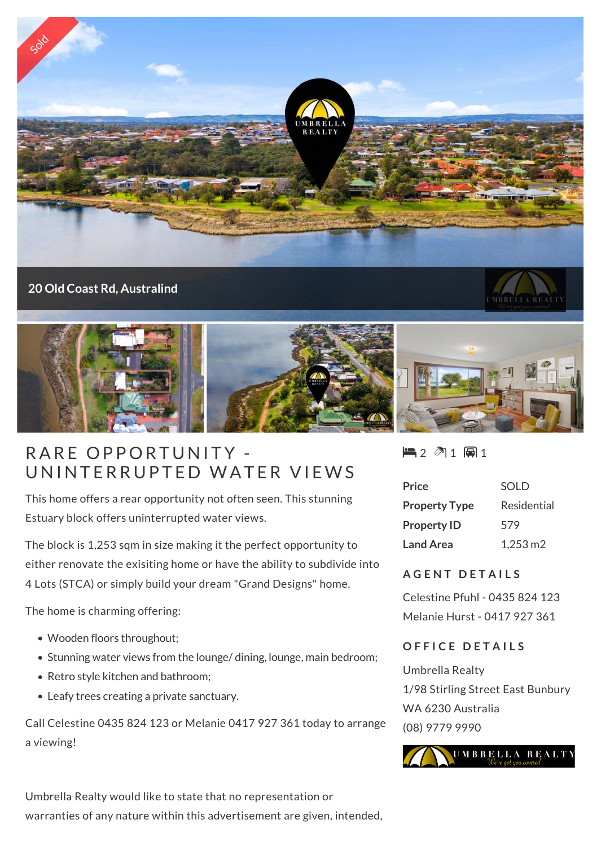

#### **20 Old Coast Rd, Australind**





# RARE OPPORTUNITY -UNINTERRUPTED WATER VIEWS

This home offers a rear opportunity not often seen. This stunning Estuary block offers uninterrupted water views.

The block is 1,253 sqm in size making it the perfect opportunity to either renovate the exisiting home or have the ability to subdivide into 4 Lots (STCA) or simply build your dream "Grand Designs" home.

The home is charming offering:

- Wooden floors throughout;
- Stunning water views from the lounge/ dining, lounge, main bedroom;
- Retro style kitchen and bathroom;
- Leafy trees creating a private sanctuary.

Call Celestine 0435 824 123 or Melanie 0417 927 361 today to arrange a viewing!

 $2 1 1 1 1$ 

| <b>Price</b>         | SOLD                  |
|----------------------|-----------------------|
| <b>Property Type</b> | Residential           |
| <b>Property ID</b>   | 579                   |
| <b>Land Area</b>     | $1,253 \,\mathrm{m2}$ |

### **A G E N T D E T A I L S**

Celestine Pfuhl - 0435 824 123 Melanie Hurst - 0417 927 361

#### **O F F I C E D E T A I L S**

Umbrella Realty 1/98 Stirling Street East Bunbury WA 6230 Australia (08) 9779 9990



Umbrella Realty would like to state that no representation or warranties of any nature within this advertisement are given, intended,